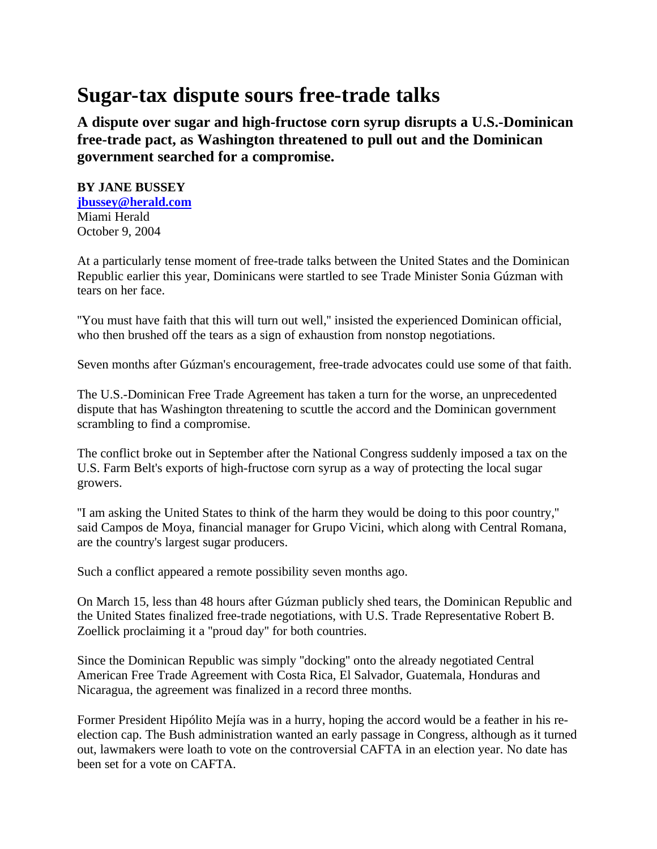## **Sugar-tax dispute sours free-trade talks**

**A dispute over sugar and high-fructose corn syrup disrupts a U.S.-Dominican free-trade pact, as Washington threatened to pull out and the Dominican government searched for a compromise.**

## **BY JANE BUSSEY**

**jbussey@herald.com** Miami Herald October 9, 2004

At a particularly tense moment of free-trade talks between the United States and the Dominican Republic earlier this year, Dominicans were startled to see Trade Minister Sonia Gúzman with tears on her face.

''You must have faith that this will turn out well,'' insisted the experienced Dominican official, who then brushed off the tears as a sign of exhaustion from nonstop negotiations.

Seven months after Gúzman's encouragement, free-trade advocates could use some of that faith.

The U.S.-Dominican Free Trade Agreement has taken a turn for the worse, an unprecedented dispute that has Washington threatening to scuttle the accord and the Dominican government scrambling to find a compromise.

The conflict broke out in September after the National Congress suddenly imposed a tax on the U.S. Farm Belt's exports of high-fructose corn syrup as a way of protecting the local sugar growers.

''I am asking the United States to think of the harm they would be doing to this poor country,'' said Campos de Moya, financial manager for Grupo Vicini, which along with Central Romana, are the country's largest sugar producers.

Such a conflict appeared a remote possibility seven months ago.

On March 15, less than 48 hours after Gúzman publicly shed tears, the Dominican Republic and the United States finalized free-trade negotiations, with U.S. Trade Representative Robert B. Zoellick proclaiming it a ''proud day'' for both countries.

Since the Dominican Republic was simply ''docking'' onto the already negotiated Central American Free Trade Agreement with Costa Rica, El Salvador, Guatemala, Honduras and Nicaragua, the agreement was finalized in a record three months.

Former President Hipólito Mejía was in a hurry, hoping the accord would be a feather in his reelection cap. The Bush administration wanted an early passage in Congress, although as it turned out, lawmakers were loath to vote on the controversial CAFTA in an election year. No date has been set for a vote on CAFTA.